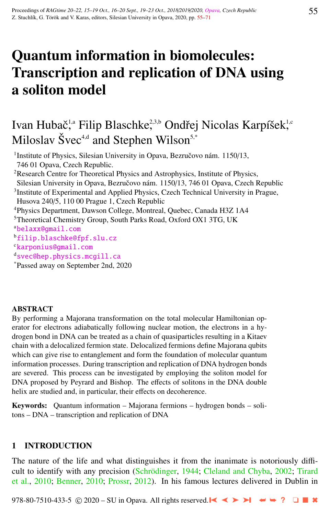# Quantum information in biomolecules: Transcription and replication of DNA using a soliton model

# Ivan Hubač<sup>ı</sup>.ª Filip Blaschke<sup>2,3,b</sup> Ondřej Nicolas Karpíšek<sup>ı.c</sup> Miloslav Švec<sup>4,d</sup> and Stephen Wilson<sup>5,\*</sup>

<sup>1</sup> Institute of Physics, Silesian University in Opava, Bezručovo nám. 1150/13, 746 01 Opava, Czech Republic. <sup>2</sup>Research Centre for Theoretical Physics and Astrophysics, Institute of Physics, Silesian University in Opava, Bezručovo nám. 1150/13, 746 01 Opava, Czech Republic <sup>3</sup>Institute of Experimental and Applied Physics, Czech Technical University in Prague, Husova 240/5, 110 00 Prague 1, Czech Republic

<sup>4</sup>Physics Department, Dawson College, Montreal, Quebec, Canada H3Z 1A4

<sup>5</sup>Theoretical Chemistry Group, South Parks Road, Oxford OX1 3TG, UK

<sup>a</sup>[belaxx@gmail.com](http://www.physics.cz/ belaxx@gmail.com)

<sup>b</sup>[filip.blaschke@fpf.slu.cz](http://www.physics.cz/ filip.blaschke@fpf.slu.cz)

<sup>c</sup>[karponius@gmail.com](http://www.physics.cz/ karponius@gmail.com)

d[svec@hep.physics.mcgill.ca](http://www.physics.cz/ svec@hep.physics.mcgill.ca)

\*Passed away on September 2nd, 2020

## **ABSTRACT**

By performing a Majorana transformation on the total molecular Hamiltonian operator for electrons adiabatically following nuclear motion, the electrons in a hydrogen bond in DNA can be treated as a chain of quasiparticles resulting in a Kitaev chain with a delocalized fermion state. Delocalized fermions define Majorana qubits which can give rise to entanglement and form the foundation of molecular quantum information processes. During transcription and replication of DNA hydrogen bonds are severed. This process can be investigated by employing the soliton model for DNA proposed by Peyrard and Bishop. The effects of solitons in the DNA double helix are studied and, in particular, their effects on decoherence.

Keywords: Quantum information – Majorana fermions – hydrogen bonds – solitons – DNA – transcription and replication of DNA

# 1 INTRODUCTION

The nature of the life and what distinguishes it from the inanimate is notoriously diffi-cult to identify with any precision (Schrödinger, [1944;](#page-15-0) [Cleland and Chyba,](#page-14-0) [2002;](#page-14-0) [Tirard](#page-16-0) [et al.,](#page-16-0) [2010;](#page-16-0) [Benner,](#page-14-0) [2010;](#page-14-0) [Prossr,](#page-15-0) [2012\)](#page-15-0). In his famous lectures delivered in Dublin in

978-80-7510-433-5 © 2020 – SU in Opava. All rights reserved. ➤❙ ➤➤ ➤❙ ➥➥ **?** ❏ ■ ✖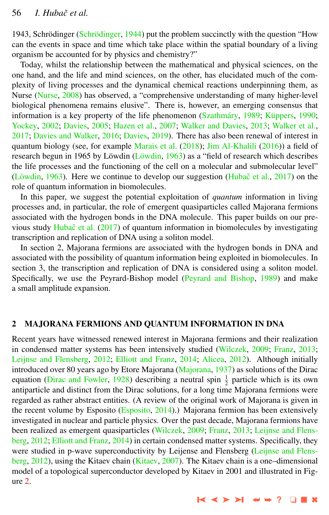1943, Schrödinger (Schrödinger, [1944\)](#page-15-0) put the problem succinctly with the question "How can the events in space and time which take place within the spatial boundary of a living organism be accounted for by physics and chemistry?"

Today, whilst the relationship between the mathematical and physical sciences, on the one hand, and the life and mind sciences, on the other, has elucidated much of the complexity of living processes and the dynamical chemical reactions underpinning them, as Nurse [\(Nurse,](#page-15-0) [2008\)](#page-15-0) has observed, a "comprehensive understanding of many higher-level biological phenomena remains elusive". There is, however, an emerging consensus that information is a key property of the life phenomenon  $(Szathmáry, 1989; Küppers, 1990; ...)$  $(Szathmáry, 1989; Küppers, 1990; ...)$  $(Szathmáry, 1989; Küppers, 1990; ...)$  $(Szathmáry, 1989; Küppers, 1990; ...)$  $(Szathmáry, 1989; Küppers, 1990; ...)$ [Yockey,](#page-16-0) [2002;](#page-16-0) [Davies,](#page-14-0) [2005;](#page-14-0) [Hazen et al.,](#page-14-0) [2007;](#page-14-0) [Walker and Davies,](#page-16-0) [2013;](#page-16-0) [Walker et al.,](#page-16-0) [2017;](#page-16-0) [Davies and Walker,](#page-14-0) [2016;](#page-14-0) [Davies,](#page-14-0) [2019\)](#page-14-0). There has also been renewal of interest in quantum biology (see, for example [Marais et al.](#page-15-0) [\(2018\)](#page-15-0); [Jim Al-Khalili](#page-15-0) [\(2016\)](#page-15-0)) a field of research begun in 1965 by Löwdin  $(L\ddot{\text{o}}w\ddot{\text{d}}n, 1963)$  $(L\ddot{\text{o}}w\ddot{\text{d}}n, 1963)$  as a "field of research which describes the life processes and the functioning of the cell on a molecular and submolecular level" (Löwdin, [1963\)](#page-15-0). Here we continue to develop our suggestion (Hubač et al.,  $2017$ ) on the role of quantum information in biomolecules.

In this paper, we suggest the potential exploitation of *quantum* information in living processes and, in particular, the role of emergent quasiparticles called Majorana fermions associated with the hydrogen bonds in the DNA molecule. This paper builds on our pre-vious study [Hubac et al.](#page-14-0)  $(2017)$  of quantum information in biomolecules by investigating transcription and replication of DNA using a soliton model.

In section 2, Majorana fermions are associated with the hydrogen bonds in DNA and associated with the possibility of quantum information being exploited in biomolecules. In section 3, the transcription and replication of DNA is considered using a soliton model. Specifically, we use the Peyrard-Bishop model [\(Peyrard and Bishop,](#page-15-0) [1989\)](#page-15-0) and make a small amplitude expansion.

## 2 MAJORANA FERMIONS AND QUANTUM INFORMATION IN DNA

Recent years have witnessed renewed interest in Majorana fermions and their realization in condensed matter systems has been intensively studied [\(Wilczek,](#page-16-0) [2009;](#page-16-0) [Franz,](#page-14-0) [2013;](#page-14-0) [Leijnse and Flensberg,](#page-15-0) [2012;](#page-15-0) [Elliott and Franz,](#page-14-0) [2014;](#page-14-0) [Alicea,](#page-14-0) [2012\)](#page-14-0). Although initially introduced over 80 years ago by Etore Majorana [\(Majorana,](#page-15-0) [1937\)](#page-15-0) as solutions of the Dirac equation [\(Dirac and Fowler,](#page-14-0) [1928\)](#page-14-0) describing a neutral spin  $\frac{1}{2}$  particle which is its own antiparticle and distinct from the Dirac solutions, for a long time Majorana fermions were regarded as rather abstract entities. (A review of the original work of Majorana is given in the recent volume by Esposito [\(Esposito,](#page-14-0) [2014\)](#page-14-0).) Majorana fermion has been extensively investigated in nuclear and particle physics. Over the past decade, Majorana fermions have been realized as emergent quasiparticles [\(Wilczek,](#page-16-0) [2009;](#page-16-0) [Franz,](#page-14-0) [2013;](#page-14-0) [Leijnse and Flens](#page-15-0)[berg,](#page-15-0) [2012;](#page-15-0) [Elliott and Franz,](#page-14-0) [2014\)](#page-14-0) in certain condensed matter systems. Specifically, they were studied in p-wave superconductivity by Leijense and Flensberg [\(Leijnse and Flens](#page-15-0)[berg,](#page-15-0) [2012\)](#page-15-0), using the Kitaev chain [\(Kitaev,](#page-15-0) [2007\)](#page-15-0). The Kitaev chain is a one–dimensional model of a topological superconductor developed by Kitaev in 2001 and illustrated in Figure [2.](#page-5-0)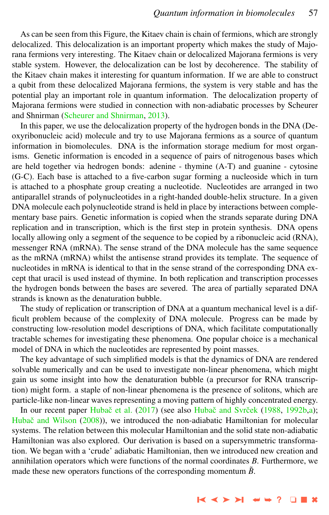As can be seen from this Figure, the Kitaev chain is chain of fermions, which are strongly delocalized. This delocalization is an important property which makes the study of Majorana fermions very interesting. The Kitaev chain or delocalized Majorana fermions is very stable system. However, the delocalization can be lost by decoherence. The stability of the Kitaev chain makes it interesting for quantum information. If we are able to construct a qubit from these delocalized Majorana fermions, the system is very stable and has the potential play an important role in quantum information. The delocalization property of Majorana fermions were studied in connection with non-adiabatic processes by Scheurer and Shnirman [\(Scheurer and Shnirman,](#page-15-0) [2013\)](#page-15-0).

In this paper, we use the delocalization property of the hydrogen bonds in the DNA (Deoxyribonucleic acid) molecule and try to use Majorana fermions as a source of quantum information in biomolecules. DNA is the information storage medium for most organisms. Genetic information is encoded in a sequence of pairs of nitrogenous bases which are held together via hedrogen bonds: adenine - thymine (A-T) and guanine - cytosine (G-C). Each base is attached to a five-carbon sugar forming a nucleoside which in turn is attached to a phosphate group creating a nucleotide. Nucleotides are arranged in two antiparallel strands of polynucleotides in a right-handed double-helix structure. In a given DNA molecule each polynucleotide strand is held in place by interactions between complementary base pairs. Genetic information is copied when the strands separate during DNA replication and in transcription, which is the first step in protein synthesis. DNA opens locally allowing only a segment of the sequence to be copied by a ribonucleic acid (RNA), messenger RNA (mRNA). The sense strand of the DNA molecule has the same sequence as the mRNA (mRNA) whilst the antisense strand provides its template. The sequence of nucleotides in mRNA is identical to that in the sense strand of the corresponding DNA except that uracil is used instead of thymine. In both replication and transcription processes the hydrogen bonds between the bases are severed. The area of partially separated DNA strands is known as the denaturation bubble.

The study of replication or transcription of DNA at a quantum mechanical level is a difficult problem because of the complexity of DNA molecule. Progress can be made by constructing low-resolution model descriptions of DNA, which facilitate computationally tractable schemes for investigating these phenomena. One popular choice is a mechanical model of DNA in which the nucleotides are represented by point masses.

The key advantage of such simplified models is that the dynamics of DNA are rendered solvable numerically and can be used to investigate non-linear phenomena, which might gain us some insight into how the denaturation bubble (a precursor for RNA transcription) might form. a staple of non-linear phenomena is the presence of solitons, which are particle-like non-linear waves representing a moving pattern of highly concentrated energy.

In our recent paper Hubač et al. [\(2017\)](#page-14-0) (see also Hubač and Svrček [\(1988,](#page-14-0) [1992b,a\)](#page-15-0); Hubač and Wilson [\(2008\)](#page-15-0)), we introduced the non-adiabatic Hamiltonian for molecular systems. The relation between this molecular Hamiltonian and the solid state non-adiabatic Hamiltonian was also explored. Our derivation is based on a supersymmetric transformation. We began with a 'crude' adiabatic Hamiltonian, then we introduced new creation and annihilation operators which were functions of the normal coordinates *B*. Furthermore, we made these new operators functions of the corresponding momentum  $\tilde{B}$ .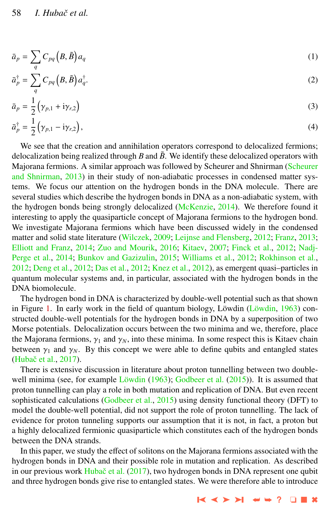$$
\bar{a}_p = \sum_q C_{pq} \left( B, \tilde{B} \right) a_q \tag{1}
$$

$$
\bar{a}_p^{\dagger} = \sum_q C_{pq} \left( B, \tilde{B} \right) a_q^{\dagger}.
$$
 (2)

$$
\bar{a}_p = \frac{1}{2} (\gamma_{p,1} + i\gamma_{r,2})
$$
\n
$$
\bar{a}_p^{\dagger} = \frac{1}{2} (\gamma_{p,1} - i\gamma_{r,2}),
$$
\n(3)

We see that the creation and annihilation operators correspond to delocalized fermions; delocalization being realized through *B* and  $\tilde{B}$ . We identify these delocalized operators with Majorana fermions. A similar approach was followed by Scheurer and Shnirman [\(Scheurer](#page-15-0) [and Shnirman,](#page-15-0) [2013\)](#page-15-0) in their study of non-adiabatic processes in condensed matter systems. We focus our attention on the hydrogen bonds in the DNA molecule. There are several studies which describe the hydrogen bonds in DNA as a non-adiabatic system, with the hydrogen bonds being strongly delocalized [\(McKenzie,](#page-15-0) [2014\)](#page-15-0). We therefore found it interesting to apply the quasiparticle concept of Majorana fermions to the hydrogen bond. We investigate Majorana fermions which have been discussed widely in the condensed matter and solid state literature [\(Wilczek,](#page-16-0) [2009;](#page-16-0) [Leijnse and Flensberg,](#page-15-0) [2012;](#page-15-0) [Franz,](#page-14-0) [2013;](#page-14-0) [Elliott and Franz,](#page-14-0) [2014;](#page-14-0) [Zuo and Mourik,](#page-16-0) [2016;](#page-16-0) [Kitaev,](#page-15-0) [2007;](#page-15-0) [Finck et al.,](#page-14-0) [2012;](#page-14-0) [Nadj-](#page-15-0)[Perge et al.,](#page-15-0) [2014;](#page-15-0) [Bunkov and Gazizulin,](#page-14-0) [2015;](#page-14-0) [Williams et al.,](#page-16-0) [2012;](#page-16-0) [Rokhinson et al.,](#page-15-0) [2012;](#page-15-0) [Deng et al.,](#page-14-0) [2012;](#page-14-0) [Das et al.,](#page-14-0) [2012;](#page-14-0) [Knez et al.,](#page-15-0) [2012\)](#page-15-0), as emergent quasi–particles in quantum molecular systems and, in particular, associated with the hydrogen bonds in the DNA biomolecule.

The hydrogen bond in DNA is characterized by double-well potential such as that shown in Figure [1.](#page-4-0) In early work in the field of quantum biology, Löwdin  $(L\ddot{\text{o}}w\ddot{\text{o}}n, 1963)$  $(L\ddot{\text{o}}w\ddot{\text{o}}n, 1963)$  constructed double-well potentials for the hydrogen bonds in DNA by a superposition of two Morse potentials. Delocalization occurs between the two minima and we, therefore, place the Majorana fermions,  $\gamma_1$  and  $\gamma_N$ , into these minima. In some respect this is Kitaev chain between  $\gamma_1$  and  $\gamma_N$ . By this concept we were able to define qubits and entangled states (Hubač et al., [2017\)](#page-14-0).

There is extensive discussion in literature about proton tunnelling between two doublewell minima (see, for example Löwdin  $(1963)$ ; [Godbeer et al.](#page-14-0)  $(2015)$ ). It is assumed that proton tunnelling can play a role in both mutation and replication of DNA. But even recent sophisticated calculations [\(Godbeer et al.,](#page-14-0) [2015\)](#page-14-0) using density functional theory (DFT) to model the double-well potential, did not support the role of proton tunnelling. The lack of evidence for proton tunneling supports our assumption that it is not, in fact, a proton but a highly delocalized fermionic quasiparticle which constitutes each of the hydrogen bonds between the DNA strands.

In this paper, we study the effect of solitons on the Majorana fermions associated with the hydrogen bonds in DNA and their possible role in mutation and replication. As described in our previous work Hubač et al. [\(2017\)](#page-14-0), two hydrogen bonds in DNA represent one qubit and three hydrogen bonds give rise to entangled states. We were therefore able to introduce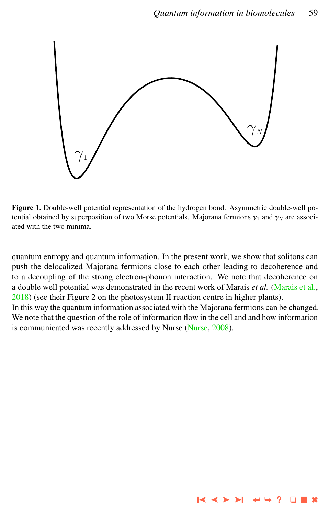<span id="page-4-0"></span>

Figure 1. Double-well potential representation of the hydrogen bond. Asymmetric double-well potential obtained by superposition of two Morse potentials. Majorana fermions  $\gamma_1$  and  $\gamma_N$  are associated with the two minima.

quantum entropy and quantum information. In the present work, we show that solitons can push the delocalized Majorana fermions close to each other leading to decoherence and to a decoupling of the strong electron-phonon interaction. We note that decoherence on a double well potential was demonstrated in the recent work of Marais *et al.* [\(Marais et al.,](#page-15-0) [2018\)](#page-15-0) (see their Figure 2 on the photosystem II reaction centre in higher plants).

In this way the quantum information associated with the Majorana fermions can be changed. We note that the question of the role of information flow in the cell and and how information is communicated was recently addressed by Nurse [\(Nurse,](#page-15-0) [2008\)](#page-15-0).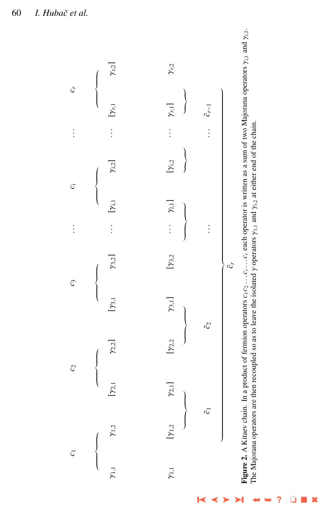<span id="page-5-0"></span>60 *I. Hubaˇc et al.*



➤  $\blacktriangleright$ ➥➥ **?** ❏ ■ ✖

➤❙ ➤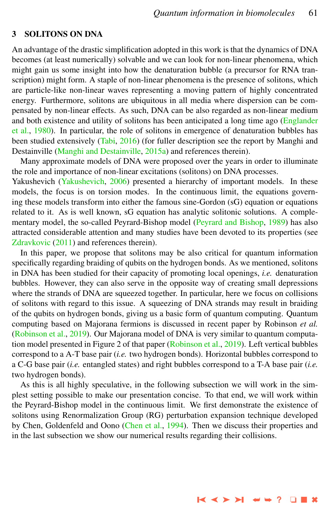#### 3 SOLITONS ON DNA

An advantage of the drastic simplification adopted in this work is that the dynamics of DNA becomes (at least numerically) solvable and we can look for non-linear phenomena, which might gain us some insight into how the denaturation bubble (a precursor for RNA transcription) might form. A staple of non-linear phenomena is the presence of solitons, which are particle-like non-linear waves representing a moving pattern of highly concentrated energy. Furthermore, solitons are ubiquitous in all media where dispersion can be compensated by non-linear effects. As such, DNA can be also regarded as non-linear medium and both existence and utility of solitons has been anticipated a long time ago [\(Englander](#page-14-0) [et al.,](#page-14-0) [1980\)](#page-14-0). In particular, the role of solitons in emergence of denaturation bubbles has been studied extensively [\(Tabi,](#page-16-0) [2016\)](#page-16-0) (for fuller description see the report by Manghi and Destainville [\(Manghi and Destainville,](#page-15-0) [2015a\)](#page-15-0) and references therein).

Many approximate models of DNA were proposed over the years in order to illuminate the role and importance of non-linear excitations (solitons) on DNA processes. Yakushevich [\(Yakushevich,](#page-16-0) [2006\)](#page-16-0) presented a hierarchy of important models. In these models, the focus is on torsion modes. In the continuous limit, the equations governing these models transform into either the famous sine-Gordon (sG) equation or equations related to it. As is well known, sG equation has analytic solitonic solutions. A complementary model, the so-called Peyrard-Bishop model [\(Peyrard and Bishop,](#page-15-0) [1989\)](#page-15-0) has also attracted considerable attention and many studies have been devoted to its properties (see [Zdravkovic](#page-16-0) [\(2011\)](#page-16-0) and references therein).

In this paper, we propose that solitons may be also critical for quantum information specifically regarding braiding of qubits on the hydrogen bonds. As we mentioned, solitons in DNA has been studied for their capacity of promoting local openings, *i.e.* denaturation bubbles. However, they can also serve in the opposite way of creating small depressions where the strands of DNA are squeezed together. In particular, here we focus on collisions of solitons with regard to this issue. A squeezing of DNA strands may result in braiding of the qubits on hydrogen bonds, giving us a basic form of quantum computing. Quantum computing based on Majorana fermions is discussed in recent paper by Robinson *et al.* [\(Robinson et al.,](#page-15-0) [2019\)](#page-15-0). Our Majorana model of DNA is very similar to quantum computation model presented in Figure 2 of that paper [\(Robinson et al.,](#page-15-0) [2019\)](#page-15-0). Left vertical bubbles correspond to a A-T base pair (*i.e.* two hydrogen bonds). Horizontal bubbles correspond to a C-G base pair (*i.e.* entangled states) and right bubbles correspond to a T-A base pair (*i.e.* two hydrogen bonds).

As this is all highly speculative, in the following subsection we will work in the simplest setting possible to make our presentation concise. To that end, we will work within the Peyrard-Bishop model in the continuous limit. We first demonstrate the existence of solitons using Renormalization Group (RG) perturbation expansion technique developed by Chen, Goldenfeld and Oono [\(Chen et al.,](#page-14-0) [1994\)](#page-14-0). Then we discuss their properties and in the last subsection we show our numerical results regarding their collisions.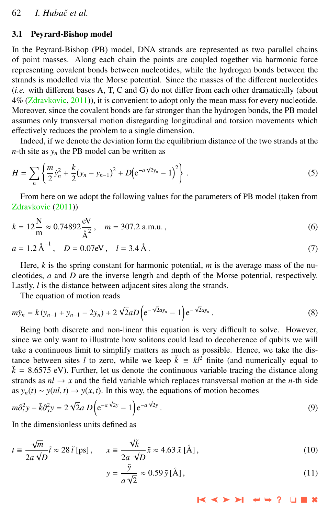#### 3.1 Peyrard-Bishop model

In the Peyrard-Bishop (PB) model, DNA strands are represented as two parallel chains of point masses. Along each chain the points are coupled together via harmonic force representing covalent bonds between nucleotides, while the hydrogen bonds between the strands is modelled via the Morse potential. Since the masses of the different nucleotides (*i.e.* with different bases A, T, C and G) do not differ from each other dramatically (about 4% [\(Zdravkovic,](#page-16-0) [2011\)](#page-16-0)), it is convenient to adopt only the mean mass for every nucleotide. Moreover, since the covalent bonds are far stronger than the hydrogen bonds, the PB model assumes only transversal motion disregarding longitudinal and torsion movements which effectively reduces the problem to a single dimension.

Indeed, if we denote the deviation form the equilibrium distance of the two strands at the *n*-th site as  $y_n$  the PB model can be written as

$$
H = \sum_{n} \left\{ \frac{m}{2} \dot{y}_n^2 + \frac{k}{2} (y_n - y_{n-1})^2 + D (e^{-a\sqrt{2}y_n} - 1)^2 \right\}.
$$
 (5)

From here on we adopt the following values for the parameters of PB model (taken from [Zdravkovic](#page-16-0) [\(2011\)](#page-16-0))

$$
k = 12 \frac{\text{N}}{\text{m}} \approx 0.74892 \frac{\text{eV}}{\text{\AA}^2}, \quad m = 307.2 \text{ a.m.u.}, \tag{6}
$$

$$
a = 1.2 \text{ Å}^{-1}, D = 0.07 \text{eV}, l = 3.4 \text{ Å}.
$$
 (7)

Here,  $k$  is the spring constant for harmonic potential,  $m$  is the average mass of the nucleotides, *a* and *D* are the inverse length and depth of the Morse potential, respectively. Lastly, *l* is the distance between adjacent sites along the strands.

The equation of motion reads

$$
m\ddot{y}_n = k(y_{n+1} + y_{n-1} - 2y_n) + 2\sqrt{2}aD\left(e^{-\sqrt{2}ay_n} - 1\right)e^{-\sqrt{2}ay_n}.
$$
 (8)

Being both discrete and non-linear this equation is very difficult to solve. However, since we only want to illustrate how solitons could lead to decoherence of qubits we will take a continuous limit to simplify matters as much as possible. Hence, we take the distance between sites *l* to zero, while we keep  $\tilde{k} = kl^2$  finite (and numerically equal to  $\tilde{k}$  = 8.6575 eV). Further, let us denote the continuous variable tracing the distance along strands as  $nl \rightarrow x$  and the field variable which replaces transversal motion at the *n*-th side as  $y_n(t) \sim y(nl, t) \rightarrow y(x, t)$ . In this way, the equations of motion becomes

$$
m\partial_t^2 y - \tilde{k}\partial_x^2 y = 2\sqrt{2}a D \left(e^{-a\sqrt{2}y} - 1\right) e^{-a\sqrt{2}y}.
$$
\n(9)

In the dimensionless units defined as

$$
t \equiv \frac{\sqrt{m}}{2a\sqrt{D}}\tilde{t} \approx 28 \tilde{t} \text{ [ps]}, \qquad x \equiv \frac{\sqrt{\tilde{k}}}{2a\sqrt{D}}\tilde{x} \approx 4.63 \tilde{x} \text{ [Å]}, \tag{10}
$$

$$
y = \frac{\tilde{y}}{a\sqrt{2}} \approx 0.59 \tilde{y} [\text{Å}], \qquad (11)
$$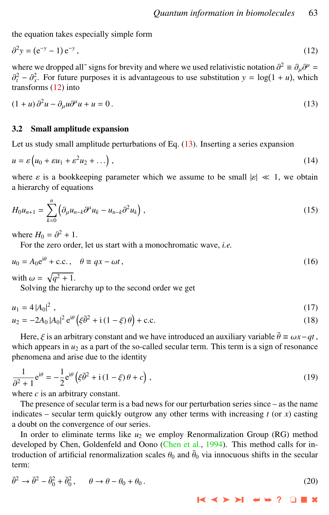the equation takes especially simple form

$$
\partial^2 y = (e^{-y} - 1)e^{-y}, \tag{12}
$$

where we dropped all<sup>∼</sup> signs for brevity and where we used relativistic notation  $\partial^2 = \partial_\mu \partial^\mu = \partial^2 = \partial^2$ . For future purposes it is advantageous to use substitution  $y = \log(1 + \mu)$ , which  $\frac{1}{x}$  transforms (12) into  $\tau_t^2 - \partial_x^2$ . For future purposes it is advantageous to use substitution  $y = \log(1 + u)$ , which

$$
(1+u)\,\partial^2 u - \partial_\mu u \partial^\mu u + u = 0\,. \tag{13}
$$

# 3.2 Small amplitude expansion

Let us study small amplitude perturbations of Eq. (13). Inserting a series expansion

$$
u = \varepsilon \left( u_0 + \varepsilon u_1 + \varepsilon^2 u_2 + \ldots \right), \tag{14}
$$

where  $\varepsilon$  is a bookkeeping parameter which we assume to be small  $|\varepsilon| \ll 1$ , we obtain a hierarchy of equations

$$
H_0 u_{n+1} = \sum_{k=0}^n \left( \partial_\mu u_{n-k} \partial^\mu u_k - u_{n-k} \partial^2 u_k \right),
$$
 (15)

where  $H_0 = \partial^2 + 1$ .<br>For the zero orde

For the zero order, let us start with a monochromatic wave, *i.e.*

$$
u_0 = A_0 e^{i\theta} + c.c., \quad \theta \equiv qx - \omega t,
$$
\n(16)

with  $\omega = \sqrt{q^2 + 1}$ .<br>Solving the hier:

Solving the hierarchy up to the second order we get

$$
u_1 = 4|A_0|^2, \tag{17}
$$

$$
u_2 = -2A_0 |A_0|^2 e^{i\theta} (\xi \bar{\theta}^2 + i (1 - \xi) \theta) + c.c.
$$
 (18)

Here,  $\xi$  is an arbitrary constant and we have introduced an auxiliary variable  $\bar{\theta} \equiv \omega x - qt$ , which appears in  $u_2$  as a part of the so-called secular term. This term is a sign of resonance phenomena and arise due to the identity

$$
\frac{1}{\partial^2 + 1} e^{i\theta} = -\frac{1}{2} e^{i\theta} \left( \xi \overline{\theta}^2 + i \left( 1 - \xi \right) \theta + c \right),\tag{19}
$$

where  $c$  is an arbitrary constant.

The presence of secular term is a bad news for our perturbation series since – as the name indicates – secular term quickly outgrow any other terms with increasing  $t$  (or  $x$ ) casting a doubt on the convergence of our series.

In order to eliminate terms like  $u_2$  we employ Renormalization Group (RG) method developed by Chen, Goldenfeld and Oono [\(Chen et al.,](#page-14-0) [1994\)](#page-14-0). This method calls for introduction of artificial renormalization scales  $\theta_0$  and  $\bar{\theta}_0$  via innocuous shifts in the secular term: term:

$$
\bar{\theta}^2 \to \bar{\theta}^2 - \bar{\theta}_0^2 + \bar{\theta}_0^2, \qquad \theta \to \theta - \theta_0 + \theta_0. \tag{20}
$$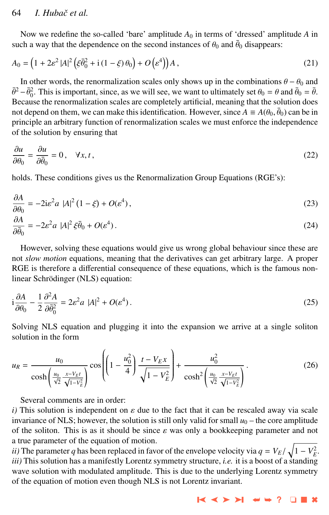# 64 *I. Hubaˇc et al.*

Now we redefine the so-called 'bare' amplitude  $A_0$  in terms of 'dressed' amplitude A in such a way that the dependence on the second instances of  $\theta_0$  and  $\bar{\theta}_0$  disappears:

$$
A_0 = \left(1 + 2\varepsilon^2 |A|^2 \left(\xi \overline{\theta}_0^2 + i\left(1 - \xi\right)\theta_0\right) + O\left(\varepsilon^4\right)\right) A\,,\tag{21}
$$

In other words, the renormalization scales only shows up in the combinations  $\theta - \theta_0$  and  $\bar{\theta}^2 - \bar{\theta}_0^2$ . This is important, since, as we will see, we want to ultimately set  $\theta_0 = \theta$  and  $\bar{\theta}_0 = \bar{\theta}$ .<br>Because the renormalization scales are completely artificial, meaning that the solution does Because the renormalization scales are completely artificial, meaning that the solution does not depend on them, we can make this identification. However, since  $A \equiv A(\theta_0, \bar{\theta}_0)$  can be in<br>principle an arbitrary function of renormalization scales we must enforce the independence principle an arbitrary function of renormalization scales we must enforce the independence of the solution by ensuring that

$$
\frac{\partial u}{\partial \theta_0} = \frac{\partial u}{\partial \bar{\theta}_0} = 0, \quad \forall x, t \,, \tag{22}
$$

holds. These conditions gives us the Renormalization Group Equations (RGE's):

$$
\frac{\partial A}{\partial \theta_0} = -2i\varepsilon^2 a |A|^2 (1 - \xi) + O(\varepsilon^4),\tag{23}
$$

$$
\frac{\partial A}{\partial \bar{\theta}_0} = -2\varepsilon^2 a \ |A|^2 \xi \bar{\theta}_0 + O(\varepsilon^4). \tag{24}
$$

However, solving these equations would give us wrong global behaviour since these are not *slow motion* equations, meaning that the derivatives can get arbitrary large. A proper RGE is therefore a differential consequence of these equations, which is the famous nonlinear Schrödinger (NLS) equation:

$$
i\frac{\partial A}{\partial \theta_0} - \frac{1}{2} \frac{\partial^2 A}{\partial \bar{\theta}_0^2} = 2\varepsilon^2 a |A|^2 + O(\varepsilon^4).
$$
 (25)

Solving NLS equation and plugging it into the expansion we arrive at a single soliton solution in the form

$$
u_R = \frac{u_0}{\cosh\left(\frac{u_0}{\sqrt{2}} \frac{x - V_{EI}}{\sqrt{1 - V_E^2}}\right)} \cos\left(\left(1 - \frac{u_0^2}{4}\right) \frac{t - V_{EX}}{\sqrt{1 - V_E^2}}\right) + \frac{u_0^2}{\cosh^2\left(\frac{u_0}{\sqrt{2}} \frac{x - V_{EI}}{\sqrt{1 - V_E^2}}\right)}.
$$
(26)

Several comments are in order:

*i*) This solution is independent on  $\varepsilon$  due to the fact that it can be rescaled away via scale invariance of NLS; however, the solution is still only valid for small  $u_0$  – the core amplitude of the soliton. This is as it should be since  $\varepsilon$  was only a bookkeeping parameter and not a true parameter of the equation of motion.

*ii*) The parameter *q* has been replaced in favor of the envelope velocity via  $q = V_E / \sqrt{1 - V_E^2}$ .<br> *iii*) This solution has a manifestly I orgatz symmetry structure, *i.e.* it is a boost of a standing *iii)* This solution has a manifestly Lorentz symmetry structure, *i.e.* it is a boost of a standing wave solution with modulated amplitude. This is due to the underlying Lorentz symmetry of the equation of motion even though NLS is not Lorentz invariant.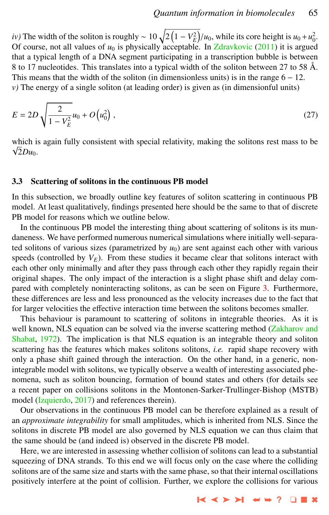*iv*) The width of the soliton is roughly ~  $10\sqrt{2(1 - V_E^2)}/u_0$ , while its core height is  $u_0 + u_0^2$ .<br>Of course, not all values of *u*<sub>0</sub> is physically acceptable. In Zdrawkovic (2011) it is arough Of course, not all values of  $u_0$  is physically acceptable. In [Zdravkovic](#page-16-0)  $(2011)$  it is argued that a typical length of a DNA segment participating in a transcription bubble is between 8 to 17 nucleotides. This translates into a typical width of the soliton between 27 to 58 Å. This means that the width of the soliton (in dimensionless units) is in the range  $6 - 12$ . *v)* The energy of a single soliton (at leading order) is given as (in dimensionful units)

$$
E = 2D \sqrt{\frac{2}{1 - V_E^2}} u_0 + O\left(u_0^2\right),\tag{27}
$$

which is again fully consistent with special relativity, making the solitons rest mass to be  $\sqrt{2}Du_0$ .

#### 3.3 Scattering of solitons in the continuous PB model

In this subsection, we broadly outline key features of soliton scattering in continuous PB model. At least qualitatively, findings presented here should be the same to that of discrete PB model for reasons which we outline below.

In the continuous PB model the interesting thing about scattering of solitons is its mundaneness. We have performed numerous numerical simulations where initially well-separated solitons of various sizes (parametrized by  $u_0$ ) are sent against each other with various speeds (controlled by  $V_E$ ). From these studies it became clear that solitons interact with each other only minimally and after they pass through each other they rapidly regain their original shapes. The only impact of the interaction is a slight phase shift and delay compared with completely noninteracting solitons, as can be seen on Figure [3.](#page-11-0) Furthermore, these differences are less and less pronounced as the velocity increases due to the fact that for larger velocities the effective interaction time between the solitons becomes smaller.

This behaviour is paramount to scattering of solitons in integrable theories. As it is well known, NLS equation can be solved via the inverse scattering method [\(Zakharov and](#page-16-0) [Shabat,](#page-16-0) [1972\)](#page-16-0). The implication is that NLS equation is an integrable theory and soliton scattering has the features which makes solitons solitons, *i.e.* rapid shape recovery with only a phase shift gained through the interaction. On the other hand, in a generic, nonintegrable model with solitons, we typically observe a wealth of interesting associated phenomena, such as soliton bouncing, formation of bound states and others (for details see a recent paper on collisions solitons in the Montonen-Sarker-Trullinger-Bishop (MSTB) model [\(Izquierdo,](#page-15-0) [2017\)](#page-15-0) and references therein).

Our observations in the continuous PB model can be therefore explained as a result of an *approximate integrability* for small amplitudes, which is inherited from NLS. Since the solitons in discrete PB model are also governed by NLS equation we can thus claim that the same should be (and indeed is) observed in the discrete PB model.

Here, we are interested in assessing whether collision of solitons can lead to a substantial squeezing of DNA strands. To this end we will focus only on the case where the colliding solitons are of the same size and starts with the same phase, so that their internal oscillations positively interfere at the point of collision. Further, we explore the collisions for various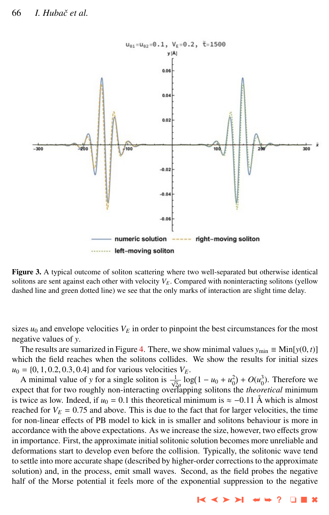<span id="page-11-0"></span>

Figure 3. A typical outcome of soliton scattering where two well-separated but otherwise identical solitons are sent against each other with velocity  $V<sub>E</sub>$ . Compared with noninteracting solitons (yellow dashed line and green dotted line) we see that the only marks of interaction are slight time delay.

sizes  $u_0$  and envelope velocities  $V_E$  in order to pinpoint the best circumstances for the most negative values of *y*.

The results are sumarized in Figure [4.](#page-12-0) There, we show minimal values  $y_{min} \equiv Min[y(0, t)]$ which the field reaches when the solitons collides. We show the results for initial sizes  $u_0 = \{0, 1, 0.2, 0.3, 0.4\}$  and for various velocities  $V_F$ .

A minimal value of *y* for a single soliton is  $\frac{1}{\sqrt{2}a} \log(1 - u_0 + u_0^2) + O(u_0^3)$ . Therefore we expect that for two roughly non-interacting overlapping solitons the *theoretical* minimum is twice as low. Indeed, if  $u_0 = 0.1$  this theoretical minimum is  $\approx -0.11$  Å which is almost reached for  $V_E = 0.75$  and above. This is due to the fact that for larger velocities, the time for non-linear effects of PB model to kick in is smaller and solitons behaviour is more in accordance with the above expectations. As we increase the size, however, two effects grow in importance. First, the approximate initial solitonic solution becomes more unreliable and deformations start to develop even before the collision. Typically, the solitonic wave tend to settle into more accurate shape (described by higher-order corrections to the approximate solution) and, in the process, emit small waves. Second, as the field probes the negative half of the Morse potential it feels more of the exponential suppression to the negative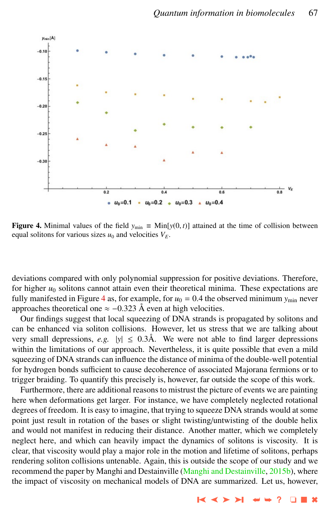<span id="page-12-0"></span>

**Figure 4.** Minimal values of the field  $y_{min}$  ≡ Min[ $y(0, t)$ ] attained at the time of collision between equal solitons for various sizes  $u_0$  and velocities  $V_F$ .

deviations compared with only polynomial suppression for positive deviations. Therefore, for higher  $u_0$  solitons cannot attain even their theoretical minima. These expectations are fully manifested in Figure 4 as, for example, for  $u_0 = 0.4$  the observed minimum  $y_{min}$  never approaches theoretical one  $\approx$  -0.323 Å even at high velocities.

Our findings suggest that local squeezing of DNA strands is propagated by solitons and can be enhanced via soliton collisions. However, let us stress that we are talking about very small depressions, *e.g.*  $|y| \leq 0.3$ Å. We were not able to find larger depressions within the limitations of our approach. Nevertheless, it is quite possible that even a mild squeezing of DNA strands can influence the distance of minima of the double-well potential for hydrogen bonds sufficient to cause decoherence of associated Majorana fermions or to trigger braiding. To quantify this precisely is, however, far outside the scope of this work.

Furthermore, there are additional reasons to mistrust the picture of events we are painting here when deformations get larger. For instance, we have completely neglected rotational degrees of freedom. It is easy to imagine, that trying to squeeze DNA strands would at some point just result in rotation of the bases or slight twisting/untwisting of the double helix and would not manifest in reducing their distance. Another matter, which we completely neglect here, and which can heavily impact the dynamics of solitons is viscosity. It is clear, that viscosity would play a major role in the motion and lifetime of solitons, perhaps rendering soliton collisions untenable. Again, this is outside the scope of our study and we recommend the paper by Manghi and Destainville [\(Manghi and Destainville,](#page-15-0) [2015b\)](#page-15-0), where the impact of viscosity on mechanical models of DNA are summarized. Let us, however,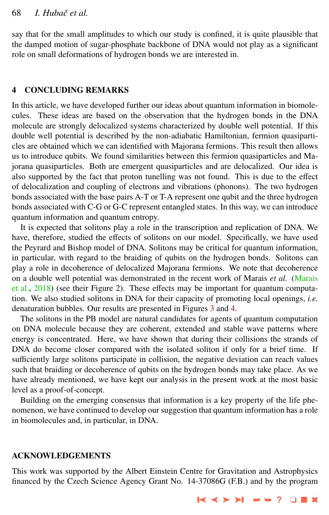say that for the small amplitudes to which our study is confined, it is quite plausible that the damped motion of sugar-phosphate backbone of DNA would not play as a significant role on small deformations of hydrogen bonds we are interested in.

## 4 CONCLUDING REMARKS

In this article, we have developed further our ideas about quantum information in biomolecules. These ideas are based on the observation that the hydrogen bonds in the DNA molecule are strongly delocalized systems characterized by double well potential. If this double well potential is described by the non-adiabatic Hamiltonian, fermion quasiparticles are obtained which we can identified with Majorana fermions. This result then allows us to introduce qubits. We found similarities between this fermion quasiparticles and Majorana quasiparticles. Both are emergent quasiparticles and are delocalized. Our idea is also supported by the fact that proton tunelling was not found. This is due to the effect of delocalization and coupling of electrons and vibrations (phonons). The two hydrogen bonds associated with the base pairs A-T or T-A represent one qubit and the three hydrogen bonds associated with C-G or G-C represent entangled states. In this way, we can introduce quantum information and quantum entropy.

It is expected that solitons play a role in the transcription and replication of DNA. We have, therefore, studied the effects of solitons on our model. Specifically, we have used the Peyrard and Bishop model of DNA. Solitons may be critical for quantum information, in particular, with regard to the braiding of qubits on the hydrogen bonds. Solitons can play a role in decoherence of delocalized Majorana fermions. We note that decoherence on a double well potential was demonstrated in the recent work of Marais *et al.* [\(Marais](#page-15-0) [et al.,](#page-15-0) [2018\)](#page-15-0) (see their Figure 2). These effects may be important for quantum computation. We also studied solitons in DNA for their capacity of promoting local openings, *i.e.* denaturation bubbles. Our results are presented in Figures [3](#page-11-0) and [4.](#page-12-0)

The solitons in the PB model are natural candidates for agents of quantum computation on DNA molecule because they are coherent, extended and stable wave patterns where energy is concentrated. Here, we have shown that during their collisions the strands of DNA do become closer compared with the isolated soliton if only for a brief time. If sufficiently large solitons participate in collision, the negative deviation can reach values such that braiding or decoherence of qubits on the hydrogen bonds may take place. As we have already mentioned, we have kept our analysis in the present work at the most basic level as a proof-of-concept.

Building on the emerging consensus that information is a key property of the life phenomenon, we have continued to develop our suggestion that quantum information has a role in biomolecules and, in particular, in DNA.

#### ACKNOWLEDGEMENTS

This work was supported by the Albert Einstein Centre for Gravitation and Astrophysics financed by the Czech Science Agency Grant No. 14-37086G (F.B.) and by the program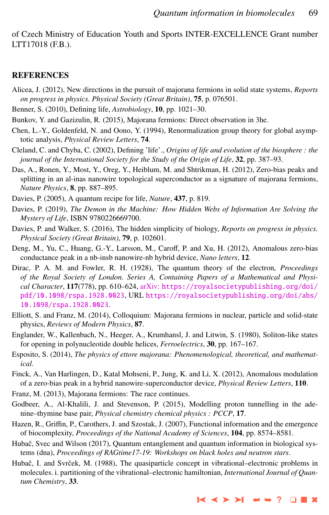<span id="page-14-0"></span>of Czech Ministry of Education Youth and Sports INTER-EXCELLENCE Grant number LTT17018 (F.B.).

#### **REFERENCES**

- Alicea, J. (2012), New directions in the pursuit of majorana fermions in solid state systems, *Reports on progress in physics. Physical Society (Great Britain)*, 75, p. 076501.
- Benner, S. (2010), Defining life, *Astrobiology*, 10, pp. 1021–30.
- Bunkov, Y. and Gazizulin, R. (2015), Majorana fermions: Direct observation in 3he.
- Chen, L.-Y., Goldenfeld, N. and Oono, Y. (1994), Renormalization group theory for global asymptotic analysis, *Physical Review Letters*, 74.
- Cleland, C. and Chyba, C. (2002), Defining 'life'., *Origins of life and evolution of the biosphere : the journal of the International Society for the Study of the Origin of Life*, 32, pp. 387–93.
- Das, A., Ronen, Y., Most, Y., Oreg, Y., Heiblum, M. and Shtrikman, H. (2012), Zero-bias peaks and splitting in an al-inas nanowire topological superconductor as a signature of majorana fermions, *Nature Physics*, 8, pp. 887–895.
- Davies, P. (2005), A quantum recipe for life, *Nature*, 437, p. 819.
- Davies, P. (2019), *The Demon in the Machine: How Hidden Webs of Information Are Solving the Mystery of Life*, ISBN 9780226669700.
- Davies, P. and Walker, S. (2016), The hidden simplicity of biology, *Reports on progress in physics. Physical Society (Great Britain)*, 79, p. 102601.
- Deng, M., Yu, C., Huang, G.-Y., Larsson, M., Caroff, P. and Xu, H. (2012), Anomalous zero-bias conductance peak in a nb-insb nanowire-nb hybrid device, *Nano letters*, 12.
- Dirac, P. A. M. and Fowler, R. H. (1928), The quantum theory of the electron, *Proceedings of the Royal Society of London. Series A, Containing Papers of a Mathematical and Physical Character*, 117(778), pp. 610–624, arXiv: [https://royalsocietypublishing.org/doi/](http://www.arxiv.org/abs/https://royalsocietypublishing.org/doi/pdf/10.1098/rspa.1928.0023) [pdf/10.1098/rspa.1928.0023](http://www.arxiv.org/abs/https://royalsocietypublishing.org/doi/pdf/10.1098/rspa.1928.0023), URL [https://royalsocietypublishing.org/doi/abs/](https://royalsocietypublishing.org/doi/abs/10.1098/rspa.1928.0023) [10.1098/rspa.1928.0023](https://royalsocietypublishing.org/doi/abs/10.1098/rspa.1928.0023).
- Elliott, S. and Franz, M. (2014), Colloquium: Majorana fermions in nuclear, particle and solid-state physics, *Reviews of Modern Physics*, 87.
- Englander, W., Kallenbach, N., Heeger, A., Krumhansl, J. and Litwin, S. (1980), Soliton-like states for opening in polynucleotide double helices, *Ferroelectrics*, 30, pp. 167–167.
- Esposito, S. (2014), *The physics of ettore majorana: Phenomenological, theoretical, and mathematical*.
- Finck, A., Van Harlingen, D., Katal Mohseni, P., Jung, K. and Li, X. (2012), Anomalous modulation of a zero-bias peak in a hybrid nanowire-superconductor device, *Physical Review Letters*, 110.
- Franz, M. (2013), Majorana fermions: The race continues.
- Godbeer, A., Al-Khalili, J. and Stevenson, P. (2015), Modelling proton tunnelling in the adenine–thymine base pair, *Physical chemistry chemical physics : PCCP*, 17.
- Hazen, R., Griffin, P., Carothers, J. and Szostak, J. (2007), Functional information and the emergence of biocomplexity, *Proceedings of the National Academy of Sciences*, 104, pp. 8574–8581.
- Hubač, Svec and Wilson (2017), Quantum entanglement and quantum information in biological systems (dna), *Proceedings of RAGtime17-19: Workshops on black holes and neutron stars*.
- Hubač, I. and Svrček, M. (1988), The quasiparticle concept in vibrational–electronic problems in molecules. i. partitioning of the vibrational–electronic hamiltonian, *International Journal of Quantum Chemistry*, 33.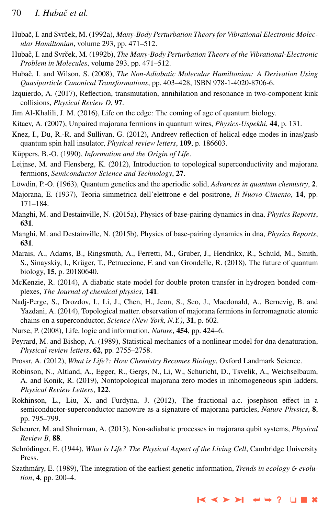- <span id="page-15-0"></span>Hubač, I. and Svrček, M. (1992a), Many-Body Perturbation Theory for Vibrational Electronic Molec*ular Hamiltonian*, volume 293, pp. 471–512.
- Hubač, I. and Svrček, M. (1992b), The Many-Body Perturbation Theory of the Vibrational-Electronic *Problem in Molecules*, volume 293, pp. 471–512.
- Hubač, I. and Wilson, S. (2008), *The Non-Adiabatic Molecular Hamiltonian: A Derivation Using Quasiparticle Canonical Transformations*, pp. 403–428, ISBN 978-1-4020-8706-6.
- Izquierdo, A. (2017), Reflection, transmutation, annihilation and resonance in two-component kink collisions, *Physical Review D*, 97.
- Jim Al-Khalili, J. M. (2016), Life on the edge: The coming of age of quantum biology.
- Kitaev, A. (2007), Unpaired majorana fermions in quantum wires, *Physics-Uspekhi*, 44, p. 131.
- Knez, I., Du, R.-R. and Sullivan, G. (2012), Andreev reflection of helical edge modes in inas/gasb quantum spin hall insulator, *Physical review letters*, 109, p. 186603.
- Küppers, B.-O. (1990), *Information and the Origin of Life*.
- Leijnse, M. and Flensberg, K. (2012), Introduction to topological superconductivity and majorana fermions, *Semiconductor Science and Technology*, 27.
- Löwdin, P.-O. (1963), Quantum genetics and the aperiodic solid, *Advances in quantum chemistry*, 2.
- Majorana, E. (1937), Teoria simmetrica dell'elettrone e del positrone, *Il Nuovo Cimento*, 14, pp. 171–184.
- Manghi, M. and Destainville, N. (2015a), Physics of base-pairing dynamics in dna, *Physics Reports*, 631.
- Manghi, M. and Destainville, N. (2015b), Physics of base-pairing dynamics in dna, *Physics Reports*, 631.
- Marais, A., Adams, B., Ringsmuth, A., Ferretti, M., Gruber, J., Hendrikx, R., Schuld, M., Smith, S., Sinayskiy, I., Krüger, T., Petruccione, F. and van Grondelle, R. (2018), The future of quantum biology, 15, p. 20180640.
- McKenzie, R. (2014), A diabatic state model for double proton transfer in hydrogen bonded complexes, *The Journal of chemical physics*, 141.
- Nadj-Perge, S., Drozdov, I., Li, J., Chen, H., Jeon, S., Seo, J., Macdonald, A., Bernevig, B. and Yazdani, A. (2014), Topological matter. observation of majorana fermions in ferromagnetic atomic chains on a superconductor, *Science (New York, N.Y.)*, 31, p. 602.
- Nurse, P. (2008), Life, logic and information, *Nature*, 454, pp. 424–6.
- Peyrard, M. and Bishop, A. (1989), Statistical mechanics of a nonlinear model for dna denaturation, *Physical review letters*, 62, pp. 2755–2758.
- Prossr, A. (2012), *What is Life?: How Chemistry Becomes Biology*, Oxford Landmark Science.
- Robinson, N., Altland, A., Egger, R., Gergs, N., Li, W., Schuricht, D., Tsvelik, A., Weichselbaum, A. and Konik, R. (2019), Nontopological majorana zero modes in inhomogeneous spin ladders, *Physical Review Letters*, 122.
- Rokhinson, L., Liu, X. and Furdyna, J. (2012), The fractional a.c. josephson effect in a semiconductor-superconductor nanowire as a signature of majorana particles, *Nature Physics*, 8, pp. 795–799.
- Scheurer, M. and Shnirman, A. (2013), Non-adiabatic processes in majorana qubit systems, *Physical Review B*, 88.
- Schrödinger, E. (1944), *What is Life? The Physical Aspect of the Living Cell*, Cambridge University Press.
- Szathmáry, E. (1989), The integration of the earliest genetic information, *Trends in ecology & evolution*, 4, pp. 200–4.